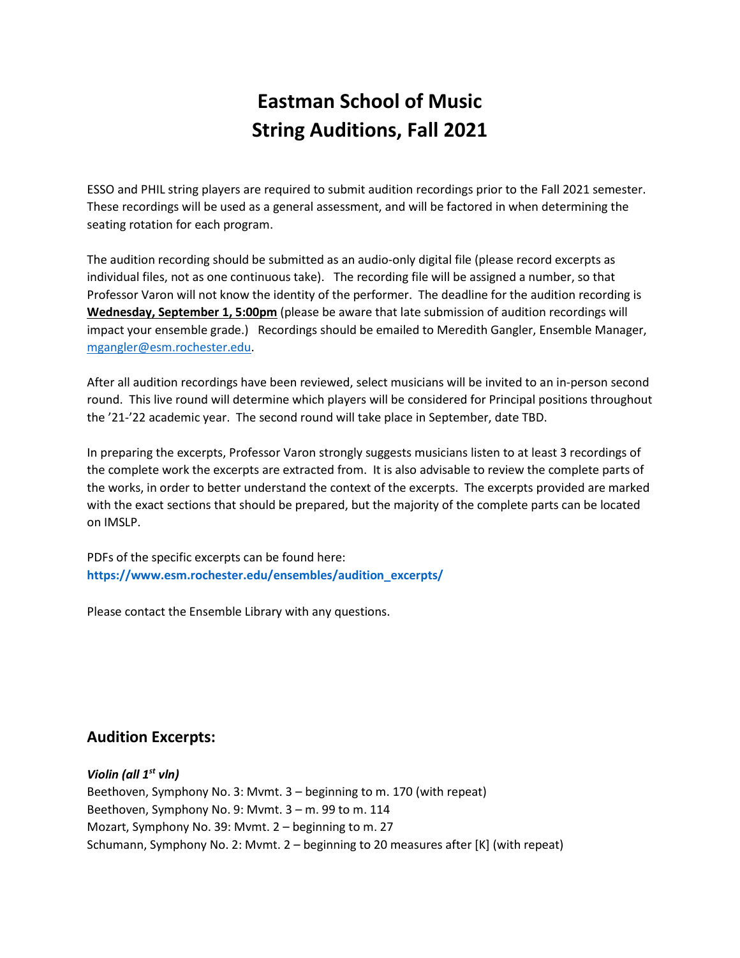# **Eastman School of Music String Auditions, Fall 2021**

ESSO and PHIL string players are required to submit audition recordings prior to the Fall 2021 semester. These recordings will be used as a general assessment, and will be factored in when determining the seating rotation for each program.

The audition recording should be submitted as an audio-only digital file (please record excerpts as individual files, not as one continuous take). The recording file will be assigned a number, so that Professor Varon will not know the identity of the performer. The deadline for the audition recording is **Wednesday, September 1, 5:00pm** (please be aware that late submission of audition recordings will impact your ensemble grade.) Recordings should be emailed to Meredith Gangler, Ensemble Manager, [mgangler@esm.rochester.edu.](mailto:mgangler@esm.rochester.edu)

After all audition recordings have been reviewed, select musicians will be invited to an in-person second round. This live round will determine which players will be considered for Principal positions throughout the '21-'22 academic year. The second round will take place in September, date TBD.

In preparing the excerpts, Professor Varon strongly suggests musicians listen to at least 3 recordings of the complete work the excerpts are extracted from. It is also advisable to review the complete parts of the works, in order to better understand the context of the excerpts. The excerpts provided are marked with the exact sections that should be prepared, but the majority of the complete parts can be located on IMSLP.

PDFs of the specific excerpts can be found here: **[https://www.esm.rochester.edu/ensembles/audition\\_excerpts/](https://www.esm.rochester.edu/ensembles/audition_excerpts/)**

Please contact the Ensemble Library with any questions.

## **Audition Excerpts:**

*Violin (all 1st vln)* Beethoven, Symphony No. 3: Mvmt. 3 – beginning to m. 170 (with repeat) Beethoven, Symphony No. 9: Mvmt. 3 – m. 99 to m. 114 Mozart, Symphony No. 39: Mvmt. 2 – beginning to m. 27 Schumann, Symphony No. 2: Mvmt. 2 – beginning to 20 measures after [K] (with repeat)